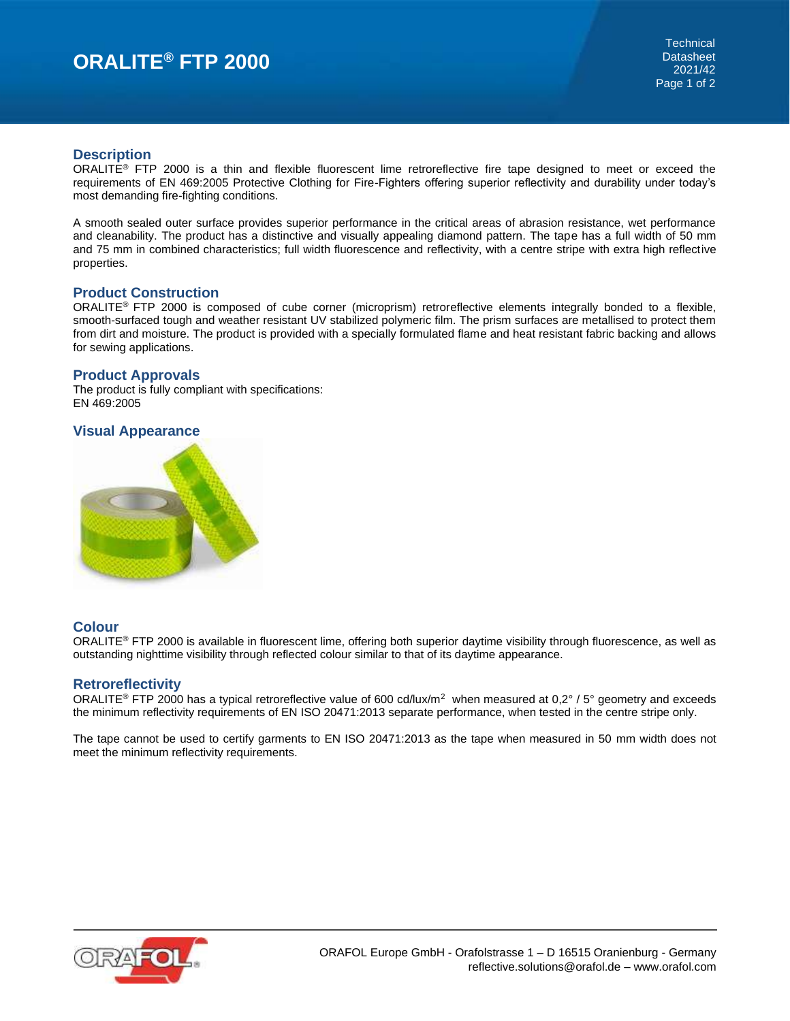# **ORALITE® FTP 2000**

### **Description**

ORALITE<sup>®</sup> FTP 2000 is a thin and flexible fluorescent lime retroreflective fire tape designed to meet or exceed the requirements of EN 469:2005 Protective Clothing for Fire-Fighters offering superior reflectivity and durability under today's most demanding fire-fighting conditions.

A smooth sealed outer surface provides superior performance in the critical areas of abrasion resistance, wet performance and cleanability. The product has a distinctive and visually appealing diamond pattern. The tape has a full width of 50 mm and 75 mm in combined characteristics; full width fluorescence and reflectivity, with a centre stripe with extra high reflective properties.

### **Product Construction**

ORALITE® FTP 2000 is composed of cube corner (microprism) retroreflective elements integrally bonded to a flexible, smooth-surfaced tough and weather resistant UV stabilized polymeric film. The prism surfaces are metallised to protect them from dirt and moisture. The product is provided with a specially formulated flame and heat resistant fabric backing and allows for sewing applications.

## **Product Approvals**

The product is fully compliant with specifications: EN 469:2005

## **Visual Appearance**



## **Colour**

ORALITE® FTP 2000 is available in fluorescent lime, offering both superior daytime visibility through fluorescence, as well as outstanding nighttime visibility through reflected colour similar to that of its daytime appearance.

#### **Retroreflectivity**

ORALITE® FTP 2000 has a typical retroreflective value of 600 cd/lux/m<sup>2</sup> when measured at 0,2° / 5° geometry and exceeds the minimum reflectivity requirements of EN ISO 20471:2013 separate performance, when tested in the centre stripe only.

The tape cannot be used to certify garments to EN ISO 20471:2013 as the tape when measured in 50 mm width does not meet the minimum reflectivity requirements.